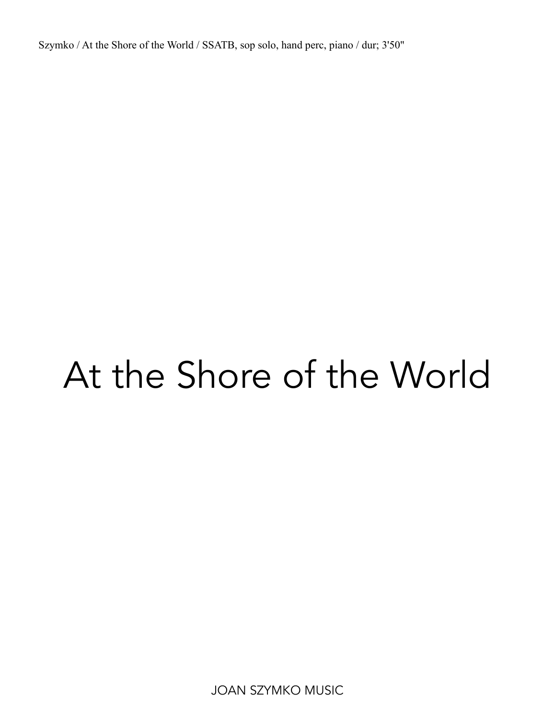Szymko / At the Shore of the World / SSATB, sop solo, hand perc, piano / dur; 3'50"

# At the Shore of the World

JOAN SZYMKO MUSIC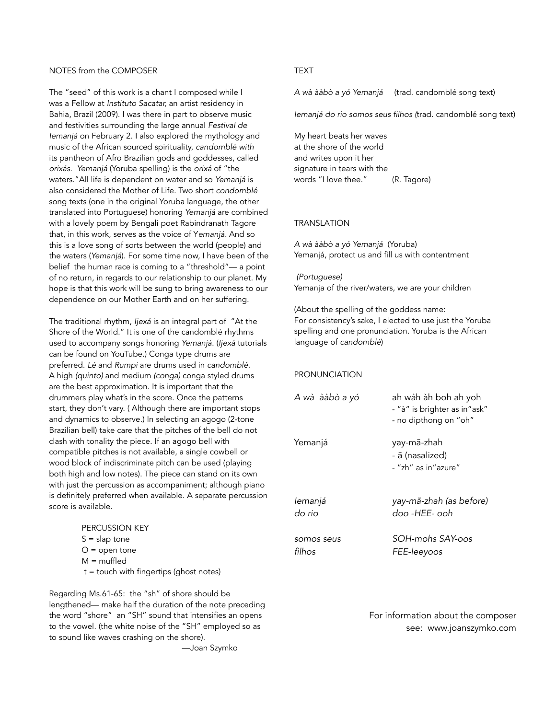# NOTES from the COMPOSER

The "seed" of this work is a chant I composed while I was a Fellow at *Instituto Sacatar,* an artist residency in Bahia, Brazil (2009). I was there in part to observe music and festivities surrounding the large annual *Festival de Iemanjá* on February 2. I also explored the mythology and music of the African sourced spirituality, *candomblé with* its pantheon of Afro Brazilian gods and goddesses, called *orixás*. *Yemanjá* (Yoruba spelling) is the *orixá* of "the waters."All life is dependent on water and so *Yemanjá* is also considered the Mother of Life. Two short *condomblé* song texts (one in the original Yoruba language, the other translated into Portuguese) honoring *Yemanjá* are combined with a lovely poem by Bengali poet Rabindranath Tagore that, in this work, serves as the voice of Y*emanjá.* And so this is a love song of sorts between the world (people) and the waters (*Yemanjá*). For some time now, I have been of the belief the human race is coming to a "threshold"— a point of no return, in regards to our relationship to our planet. My hope is that this work will be sung to bring awareness to our dependence on our Mother Earth and on her suffering.

The traditional rhythm, *Ijexá* is an integral part of "At the Shore of the World." It is one of the candomblé rhythms used to accompany songs honoring *Yemanjá*. (*Ijexá* tutorials can be found on YouTube.) Conga type drums are preferred. *Lé* and *Rumpi* are drums used in *candomblé.*  A high *(quinto)* and medium *(conga)* conga styled drums are the best approximation. It is important that the drummers play what's in the score. Once the patterns start, they don't vary. ( Although there are important stops and dynamics to observe.) In selecting an agogo (2-tone Brazilian bell) take care that the pitches of the bell do not clash with tonality the piece. If an agogo bell with compatible pitches is not available, a single cowbell or wood block of indiscriminate pitch can be used (playing both high and low notes). The piece can stand on its own with just the percussion as accompaniment; although piano is definitely preferred when available. A separate percussion score is available.

| PERCUSSION KEY                            |
|-------------------------------------------|
| $S =$ slap tone                           |
| $O =$ open tone                           |
| $M = muffled$                             |
| $t =$ touch with fingertips (ghost notes) |

Regarding Ms.61-65: the "sh" of shore should be lengthened— make half the duration of the note preceding the word "shore" an "SH" sound that intensifies an opens to the vowel. (the white noise of the "SH" employed so as to sound like waves crashing on the shore).

—Joan Szymko

# **TFXT**

*A wà ààbò a yó Yemanjá* (trad. candomblé song text)

*Iemanjá do rio somos seus filhos (*trad. candomblé song text)

My heart beats her waves at the shore of the world and writes upon it her signature in tears with the words "I love thee." (R. Tagore)

#### **TRANSLATION**

*A wà ààbò a yó Yemanjá* (Yoruba) Yemanjá, protect us and fill us with contentment

 *(Portuguese)* Yemanja of the river/waters, we are your children

(About the spelling of the goddess name: For consistency's sake, I elected to use just the Yoruba spelling and one pronunciation. Yoruba is the African language of *candomblé*)

# PRONUNCIATION

| A wà ààbò a yó | ah wàh àh boh ah yoh<br>- "à" is brighter as in"ask"<br>- no dipthong on "oh" |
|----------------|-------------------------------------------------------------------------------|
| Yemanjá        | yay-mã-zhah<br>- ã (nasalized)<br>- "zh" as in"azure"                         |
| lemanjá        | yay-mã-zhah (as before)                                                       |
| do rio         | doo -HEE- ooh                                                                 |
| somos seus     | SOH-mohs SAY-oos                                                              |
| filhos         | FEE-leeyoos                                                                   |

For information about the composer see: www.joanszymko.com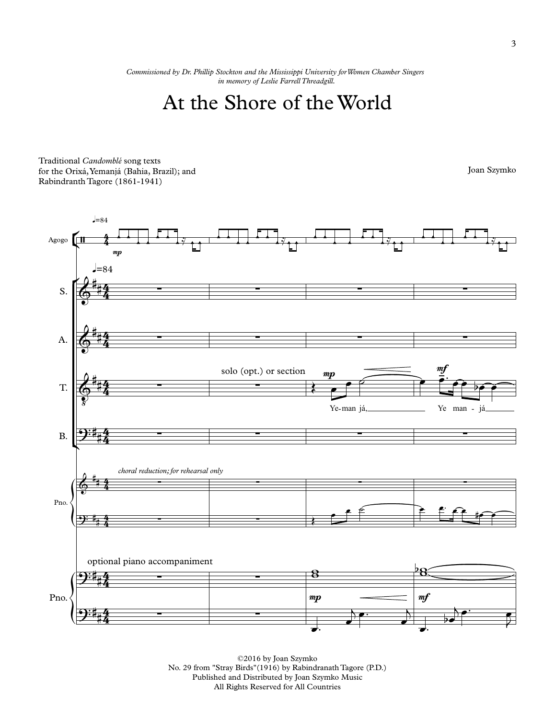At*Commissioned by Dr. Phillip Stockton and the Mississippi University forWomen Chamber Singers in memory of Leslie FarrellThreadgill.*

# At the Shore of the World

Traditional *Candomblé* song texts Traditional *Candomblé* song texts<br>for the Orixá,Yemanjá (Bahia, Brazil); and Rabindranth Tagore (1861-1941)

Joan Szymko



©2016 by Joan Szymko ©2016 by Joan Szymko<br>No. 29 from "Stray Birds"(1916) by Rabindranath Tagore (P.D.) 'Stray Birds"(1916) by Rabindranath Tagore<br>hed and Distributed by Joan Szymko Music All Rights Reserved for All Countries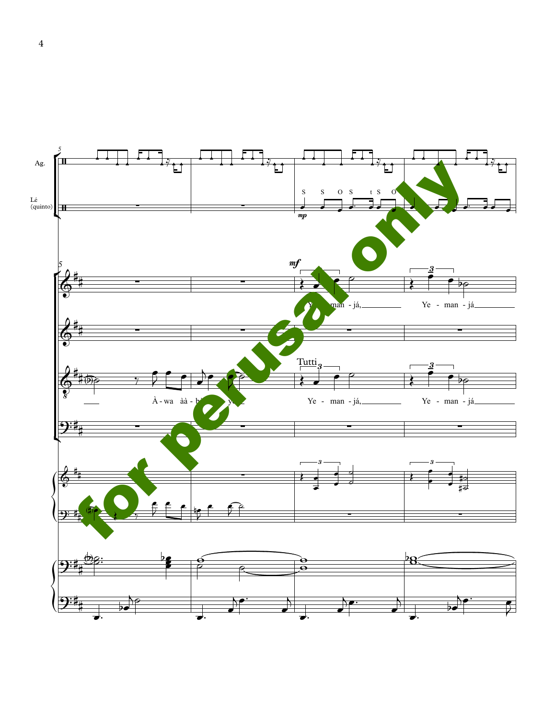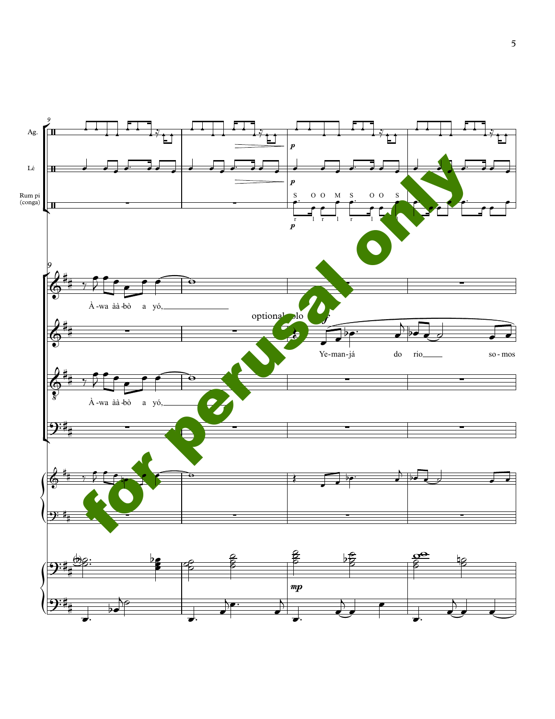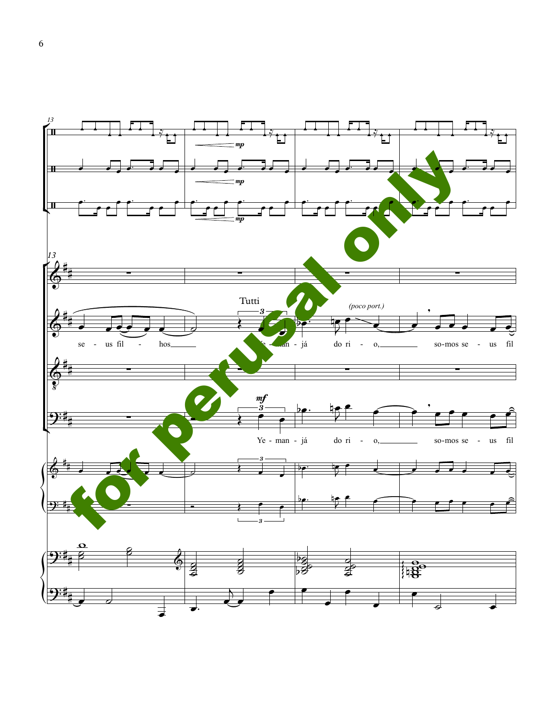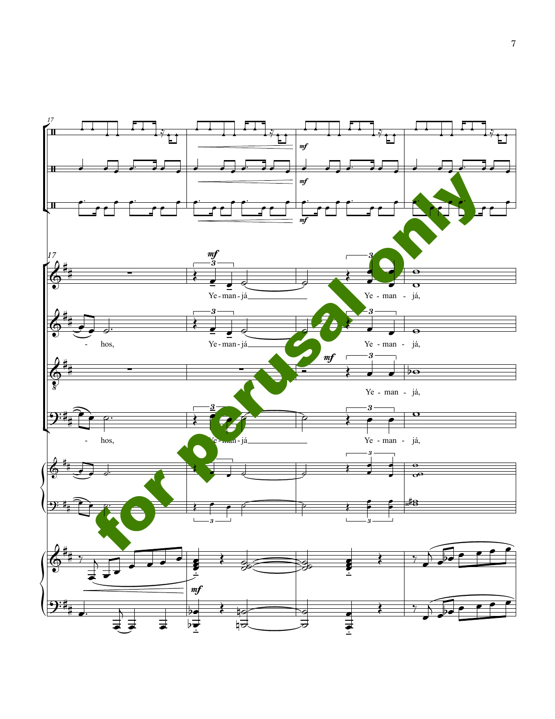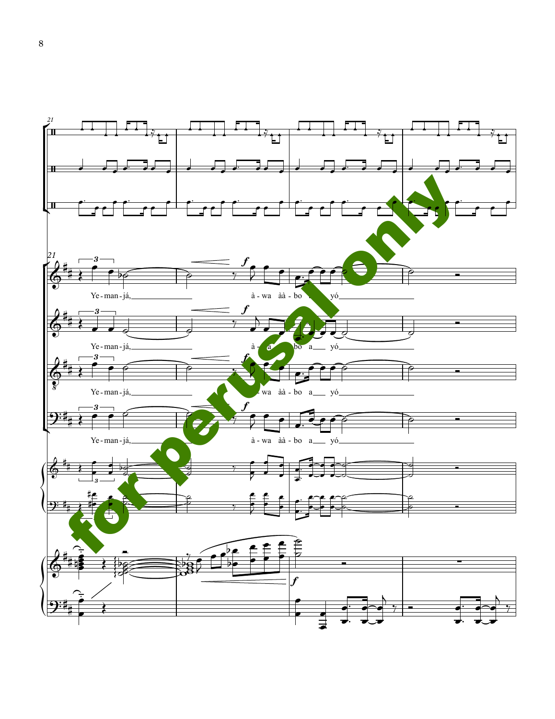

8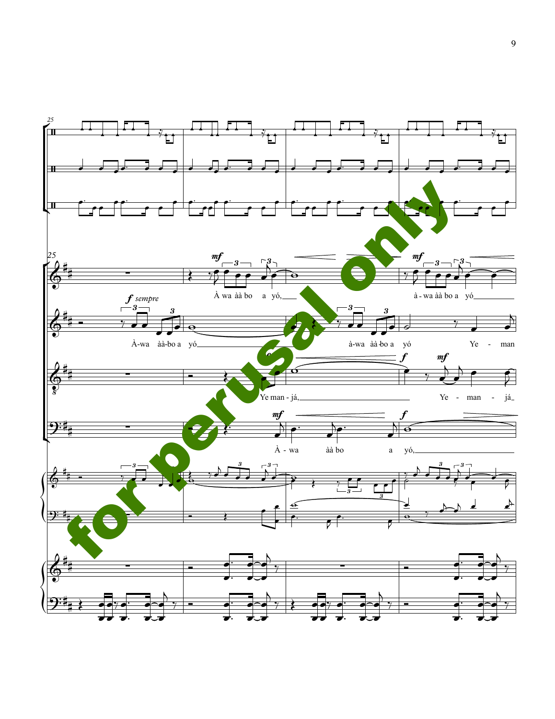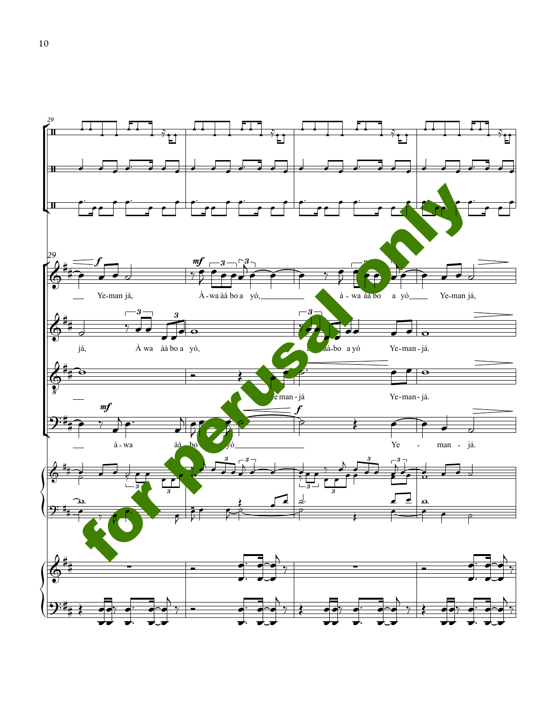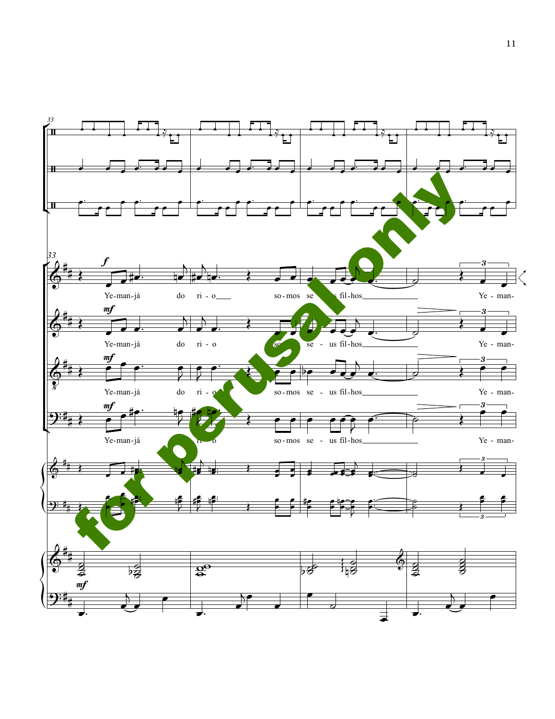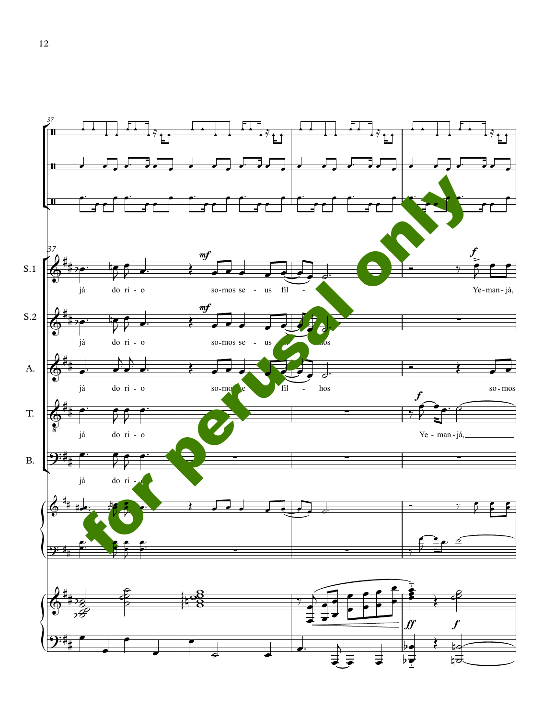

12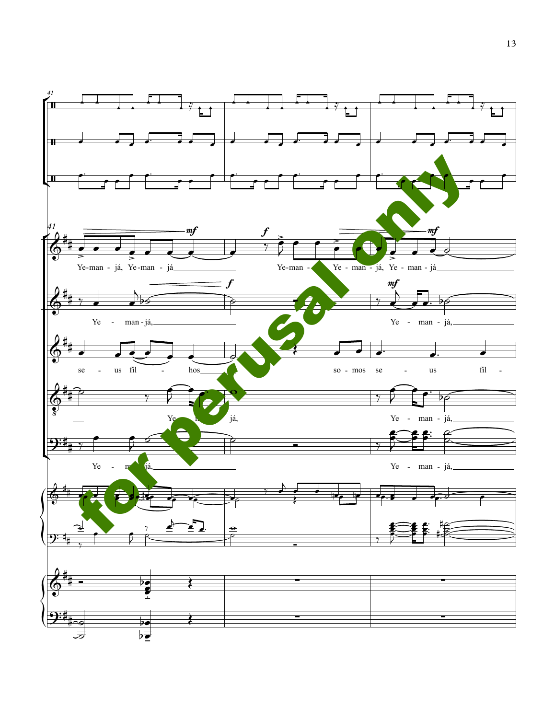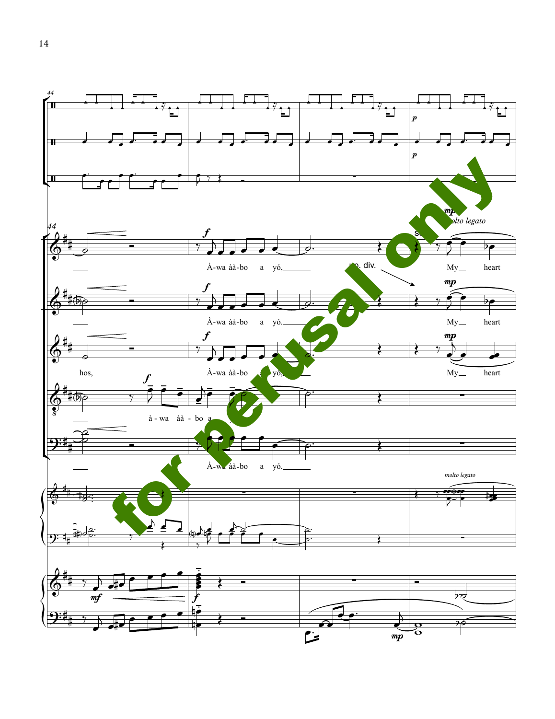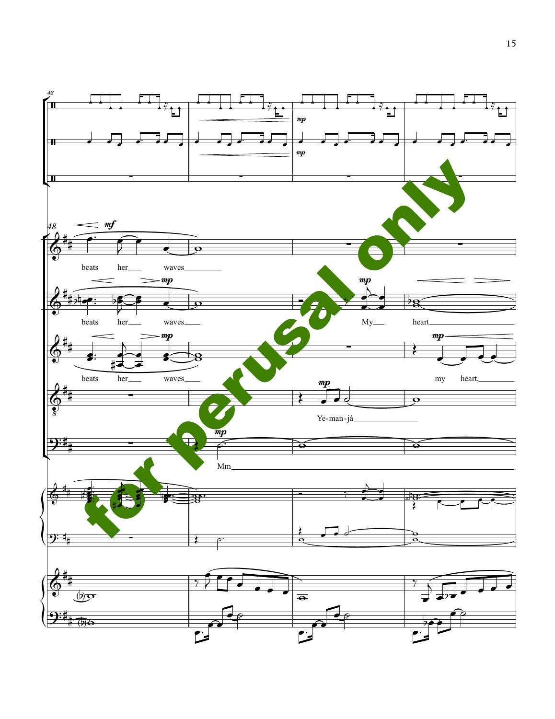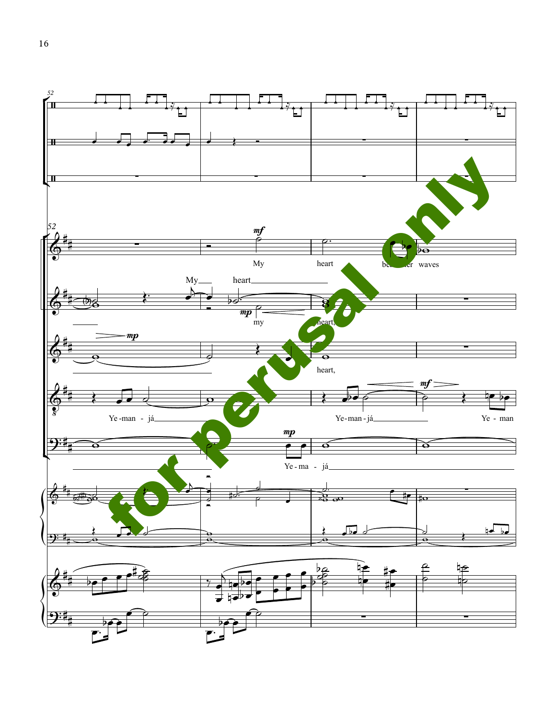

 $16\,$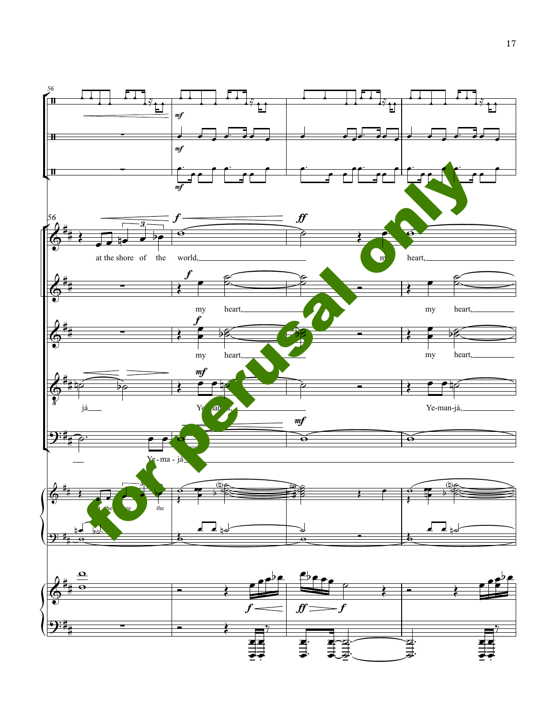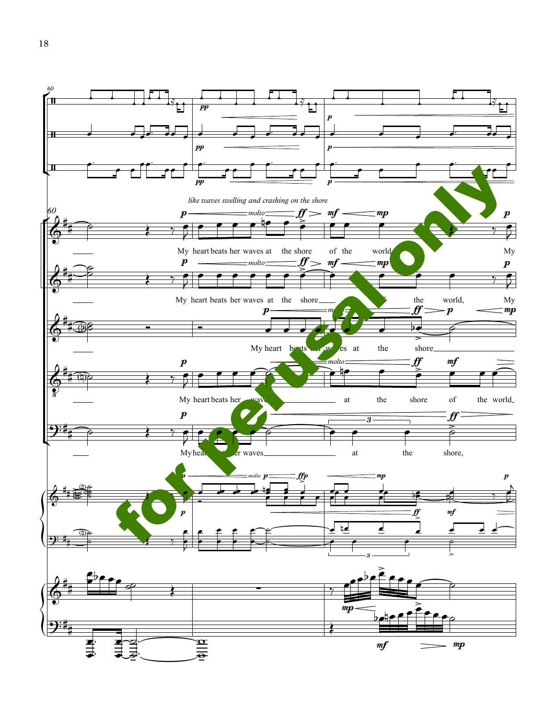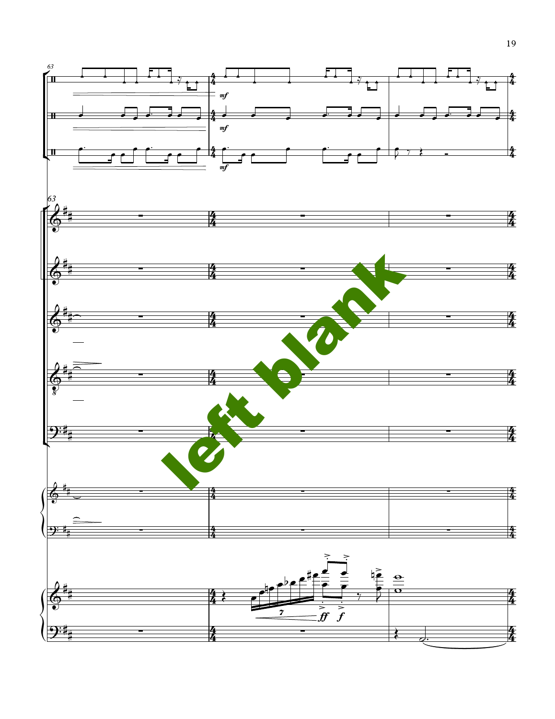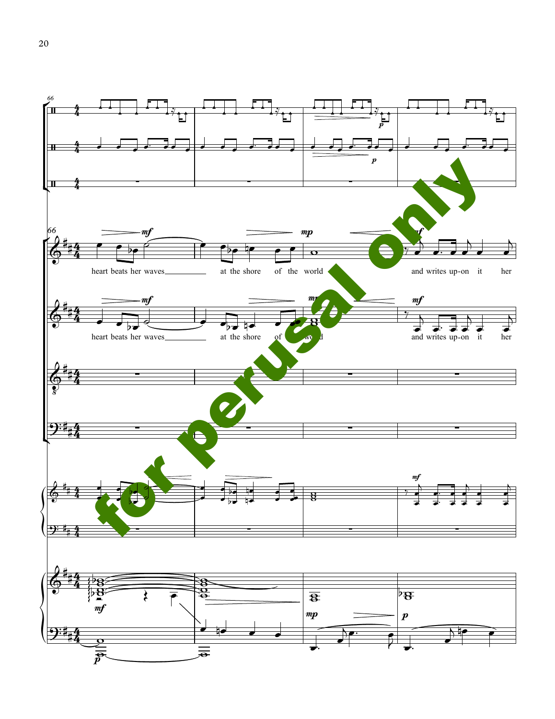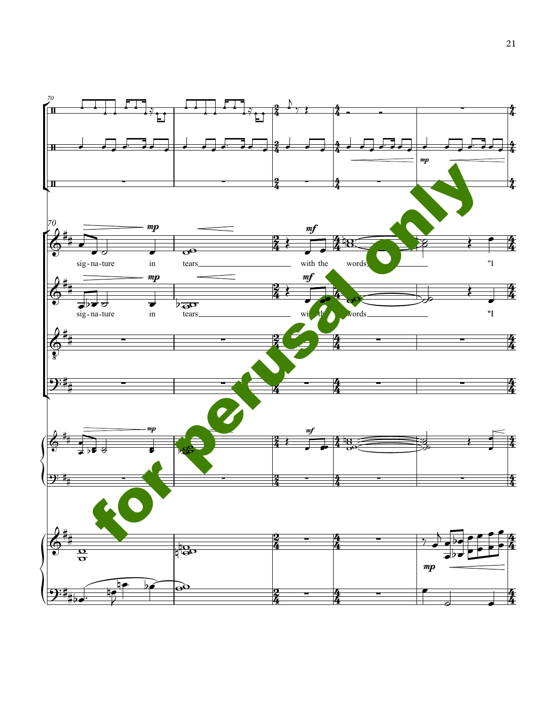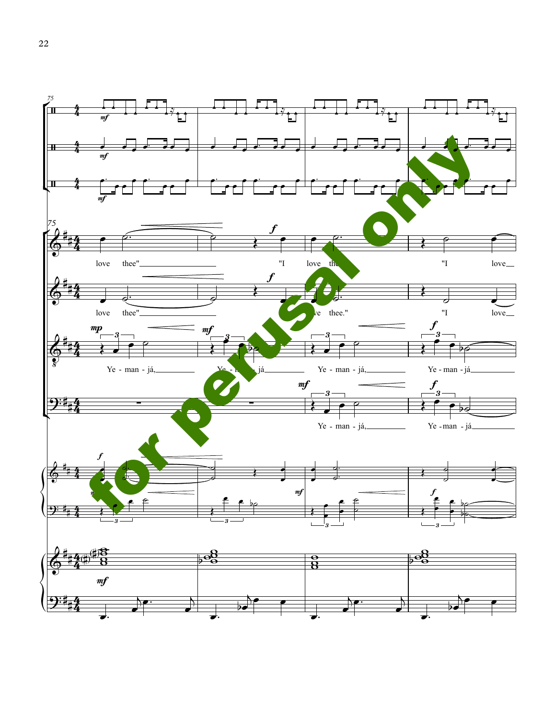